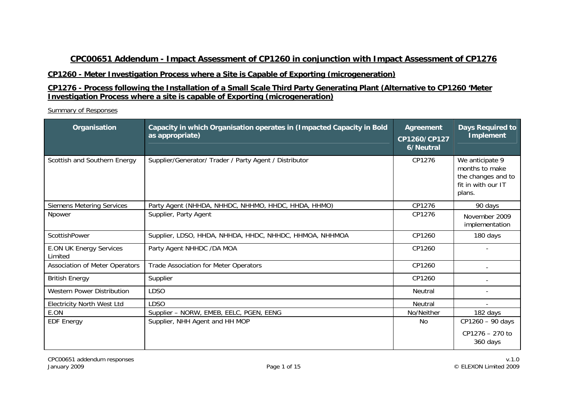# **CPC00651 Addendum - Impact Assessment of CP1260 in conjunction with Impact Assessment of CP1276**

## **CP1260 - Meter Investigation Process where a Site is Capable of Exporting (microgeneration)**

### **CP1276 - Process following the Installation of a Small Scale Third Party Generating Plant (Alternative to CP1260 'Meter Investigation Process where a site is capable of Exporting (microgeneration)**

**Summary of Responses** 

| Organisation                              | Capacity in which Organisation operates in (Impacted Capacity in Bold<br>as appropriate) | <b>Agreement</b><br>CP1260/CP127<br>6/Neutral | <b>Days Required to</b><br><b>Implement</b>                                             |
|-------------------------------------------|------------------------------------------------------------------------------------------|-----------------------------------------------|-----------------------------------------------------------------------------------------|
| Scottish and Southern Energy              | Supplier/Generator/ Trader / Party Agent / Distributor                                   | CP1276                                        | We anticipate 9<br>months to make<br>the changes and to<br>fit in with our IT<br>plans. |
| <b>Siemens Metering Services</b>          | Party Agent (NHHDA, NHHDC, NHHMO, HHDC, HHDA, HHMO)                                      | CP1276                                        | 90 days                                                                                 |
| Npower                                    | Supplier, Party Agent                                                                    | CP1276                                        | November 2009<br>implementation                                                         |
| ScottishPower                             | Supplier, LDSO, HHDA, NHHDA, HHDC, NHHDC, HHMOA, NHHMOA                                  | CP1260                                        | 180 days                                                                                |
| <b>E.ON UK Energy Services</b><br>Limited | Party Agent NHHDC /DA MOA                                                                | CP1260                                        | $\overline{\phantom{a}}$                                                                |
| Association of Meter Operators            | Trade Association for Meter Operators                                                    | CP1260                                        |                                                                                         |
| <b>British Energy</b>                     | Supplier                                                                                 | CP1260                                        |                                                                                         |
| <b>Western Power Distribution</b>         | <b>LDSO</b>                                                                              | Neutral                                       |                                                                                         |
| <b>Electricity North West Ltd</b>         | <b>LDSO</b>                                                                              | Neutral                                       |                                                                                         |
| E.ON                                      | Supplier - NORW, EMEB, EELC, PGEN, EENG                                                  | No/Neither                                    | 182 days                                                                                |
| <b>EDF Energy</b>                         | Supplier, NHH Agent and HH MOP                                                           | No                                            | CP1260 - 90 days<br>CP1276 - 270 to<br>360 days                                         |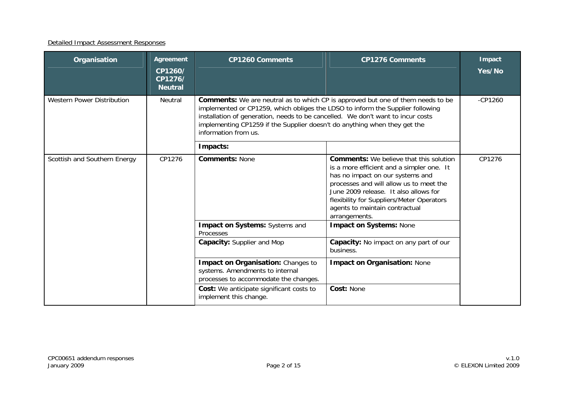#### Detailed Impact Assessment Responses

| Organisation                      | Agreement<br>CP1260/<br>CP1276/<br><b>Neutral</b> | <b>CP1260 Comments</b>                                                                                                                                                                                                                                                 | <b>CP1276 Comments</b>                                                                                                                                                                                                                                                                                              | Impact<br>Yes/No |
|-----------------------------------|---------------------------------------------------|------------------------------------------------------------------------------------------------------------------------------------------------------------------------------------------------------------------------------------------------------------------------|---------------------------------------------------------------------------------------------------------------------------------------------------------------------------------------------------------------------------------------------------------------------------------------------------------------------|------------------|
| <b>Western Power Distribution</b> | Neutral                                           | implemented or CP1259, which obliges the LDSO to inform the Supplier following<br>installation of generation, needs to be cancelled. We don't want to incur costs<br>implementing CP1259 if the Supplier doesn't do anything when they get the<br>information from us. | <b>Comments:</b> We are neutral as to which CP is approved but one of them needs to be                                                                                                                                                                                                                              | $-CP1260$        |
|                                   |                                                   | Impacts:                                                                                                                                                                                                                                                               |                                                                                                                                                                                                                                                                                                                     |                  |
| Scottish and Southern Energy      | CP1276                                            | <b>Comments: None</b>                                                                                                                                                                                                                                                  | <b>Comments:</b> We believe that this solution<br>is a more efficient and a simpler one. It<br>has no impact on our systems and<br>processes and will allow us to meet the<br>June 2009 release. It also allows for<br>flexibility for Suppliers/Meter Operators<br>agents to maintain contractual<br>arrangements. | CP1276           |
|                                   |                                                   | Impact on Systems: Systems and<br>Processes                                                                                                                                                                                                                            | <b>Impact on Systems: None</b>                                                                                                                                                                                                                                                                                      |                  |
|                                   |                                                   | Capacity: Supplier and Mop                                                                                                                                                                                                                                             | Capacity: No impact on any part of our<br>business.                                                                                                                                                                                                                                                                 |                  |
|                                   |                                                   | Impact on Organisation: Changes to<br>systems. Amendments to internal<br>processes to accommodate the changes.                                                                                                                                                         | <b>Impact on Organisation: None</b>                                                                                                                                                                                                                                                                                 |                  |
|                                   |                                                   | Cost: We anticipate significant costs to<br>implement this change.                                                                                                                                                                                                     | Cost: None                                                                                                                                                                                                                                                                                                          |                  |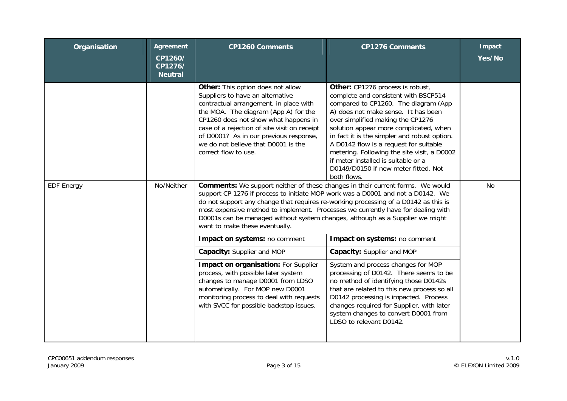| Organisation      | <b>Agreement</b><br>CP1260/<br>CP1276/<br><b>Neutral</b> | <b>CP1260 Comments</b>                                                                                                                                                                                                                                                                                                                                                                                                                                                                                                                                                                                                                                                                                                                                                                           | <b>CP1276 Comments</b>                                                                                                                                                                                                                                                                                                                                                                                                                                                        | <b>Impact</b><br>Yes/No |
|-------------------|----------------------------------------------------------|--------------------------------------------------------------------------------------------------------------------------------------------------------------------------------------------------------------------------------------------------------------------------------------------------------------------------------------------------------------------------------------------------------------------------------------------------------------------------------------------------------------------------------------------------------------------------------------------------------------------------------------------------------------------------------------------------------------------------------------------------------------------------------------------------|-------------------------------------------------------------------------------------------------------------------------------------------------------------------------------------------------------------------------------------------------------------------------------------------------------------------------------------------------------------------------------------------------------------------------------------------------------------------------------|-------------------------|
| <b>EDF Energy</b> | No/Neither                                               | Other: This option does not allow<br>Suppliers to have an alternative<br>contractual arrangement, in place with<br>the MOA. The diagram (App A) for the<br>CP1260 does not show what happens in<br>case of a rejection of site visit on receipt<br>of D0001? As in our previous response,<br>we do not believe that D0001 is the<br>correct flow to use.<br><b>Comments:</b> We support neither of these changes in their current forms. We would<br>support CP 1276 if process to initiate MOP work was a D0001 and not a D0142. We<br>do not support any change that requires re-working processing of a D0142 as this is<br>most expensive method to implement. Processes we currently have for dealing with<br>D0001s can be managed without system changes, although as a Supplier we might | Other: CP1276 process is robust,<br>complete and consistent with BSCP514<br>compared to CP1260. The diagram (App<br>A) does not make sense. It has been<br>over simplified making the CP1276<br>solution appear more complicated, when<br>in fact it is the simpler and robust option.<br>A D0142 flow is a request for suitable<br>metering. Following the site visit, a D0002<br>if meter installed is suitable or a<br>D0149/D0150 if new meter fitted. Not<br>both flows. | No.                     |
|                   |                                                          | want to make these eventually.                                                                                                                                                                                                                                                                                                                                                                                                                                                                                                                                                                                                                                                                                                                                                                   |                                                                                                                                                                                                                                                                                                                                                                                                                                                                               |                         |
|                   |                                                          | Impact on systems: no comment                                                                                                                                                                                                                                                                                                                                                                                                                                                                                                                                                                                                                                                                                                                                                                    | Impact on systems: no comment                                                                                                                                                                                                                                                                                                                                                                                                                                                 |                         |
|                   |                                                          | Capacity: Supplier and MOP                                                                                                                                                                                                                                                                                                                                                                                                                                                                                                                                                                                                                                                                                                                                                                       | Capacity: Supplier and MOP                                                                                                                                                                                                                                                                                                                                                                                                                                                    |                         |
|                   |                                                          | Impact on organisation: For Supplier<br>process, with possible later system<br>changes to manage D0001 from LDSO<br>automatically. For MOP new D0001<br>monitoring process to deal with requests<br>with SVCC for possible backstop issues.                                                                                                                                                                                                                                                                                                                                                                                                                                                                                                                                                      | System and process changes for MOP<br>processing of D0142. There seems to be<br>no method of identifying those D0142s<br>that are related to this new process so all<br>D0142 processing is impacted. Process<br>changes required for Supplier, with later<br>system changes to convert D0001 from<br>LDSO to relevant D0142.                                                                                                                                                 |                         |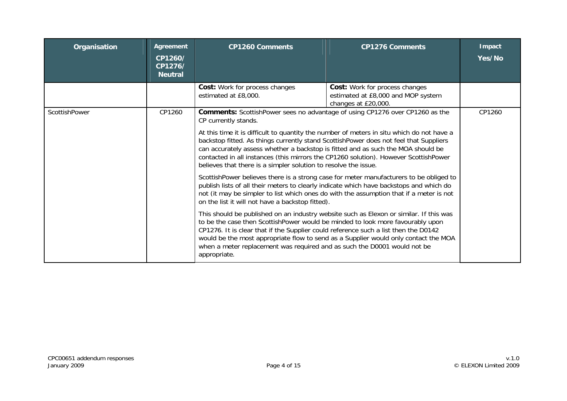| Organisation  | Agreement<br>CP1260/<br>CP1276/<br><b>Neutral</b> | <b>CP1260 Comments</b>                                                                                                                                                                                                                                                                                                                                                                                                                                                                                                                                                                                                                                                                                                                                                                                                                                                  | <b>CP1276 Comments</b>                                                                                                                                                                                                                                                                                                                                                                                                                                          | <b>Impact</b><br>Yes/No |
|---------------|---------------------------------------------------|-------------------------------------------------------------------------------------------------------------------------------------------------------------------------------------------------------------------------------------------------------------------------------------------------------------------------------------------------------------------------------------------------------------------------------------------------------------------------------------------------------------------------------------------------------------------------------------------------------------------------------------------------------------------------------------------------------------------------------------------------------------------------------------------------------------------------------------------------------------------------|-----------------------------------------------------------------------------------------------------------------------------------------------------------------------------------------------------------------------------------------------------------------------------------------------------------------------------------------------------------------------------------------------------------------------------------------------------------------|-------------------------|
|               |                                                   | <b>Cost:</b> Work for process changes<br>estimated at £8,000.                                                                                                                                                                                                                                                                                                                                                                                                                                                                                                                                                                                                                                                                                                                                                                                                           | Cost: Work for process changes<br>estimated at £8,000 and MOP system<br>changes at £20,000.                                                                                                                                                                                                                                                                                                                                                                     |                         |
| ScottishPower | CP1260                                            | <b>Comments:</b> ScottishPower sees no advantage of using CP1276 over CP1260 as the<br>CP currently stands.<br>backstop fitted. As things currently stand ScottishPower does not feel that Suppliers<br>can accurately assess whether a backstop is fitted and as such the MOA should be<br>contacted in all instances (this mirrors the CP1260 solution). However ScottishPower<br>believes that there is a simpler solution to resolve the issue.<br>publish lists of all their meters to clearly indicate which have backstops and which do<br>on the list it will not have a backstop fitted).<br>to be the case then ScottishPower would be minded to look more favourably upon<br>CP1276. It is clear that if the Supplier could reference such a list then the D0142<br>when a meter replacement was required and as such the D0001 would not be<br>appropriate. | At this time it is difficult to quantity the number of meters in situ which do not have a<br>ScottishPower believes there is a strong case for meter manufacturers to be obliged to<br>not (it may be simpler to list which ones do with the assumption that if a meter is not<br>This should be published on an industry website such as Elexon or similar. If this was<br>would be the most appropriate flow to send as a Supplier would only contact the MOA | CP1260                  |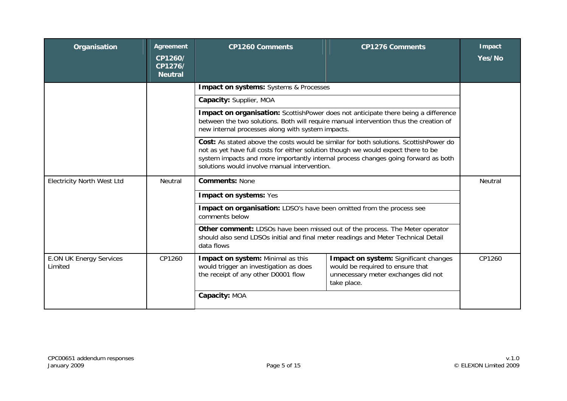| Organisation                              | <b>Agreement</b><br>CP1260/<br>CP1276/<br><b>Neutral</b> | <b>CP1260 Comments</b>                                                                                                                                                           | <b>CP1276 Comments</b>                                                                                                                                                      | Impact<br>Yes/No |
|-------------------------------------------|----------------------------------------------------------|----------------------------------------------------------------------------------------------------------------------------------------------------------------------------------|-----------------------------------------------------------------------------------------------------------------------------------------------------------------------------|------------------|
|                                           |                                                          | Impact on systems: Systems & Processes                                                                                                                                           |                                                                                                                                                                             |                  |
|                                           |                                                          | Capacity: Supplier, MOA                                                                                                                                                          |                                                                                                                                                                             |                  |
|                                           |                                                          | new internal processes along with system impacts.                                                                                                                                | Impact on organisation: ScottishPower does not anticipate there being a difference<br>between the two solutions. Both will require manual intervention thus the creation of |                  |
|                                           |                                                          | not as yet have full costs for either solution though we would expect there to be<br>solutions would involve manual intervention.                                                | Cost: As stated above the costs would be similar for both solutions. ScottishPower do<br>system impacts and more importantly internal process changes going forward as both |                  |
| <b>Electricity North West Ltd</b>         | Neutral                                                  | <b>Comments: None</b>                                                                                                                                                            | Neutral                                                                                                                                                                     |                  |
|                                           |                                                          | Impact on systems: Yes                                                                                                                                                           |                                                                                                                                                                             |                  |
|                                           |                                                          | Impact on organisation: LDSO's have been omitted from the process see<br>comments below                                                                                          |                                                                                                                                                                             |                  |
|                                           |                                                          | Other comment: LDSOs have been missed out of the process. The Meter operator<br>should also send LDSOs initial and final meter readings and Meter Technical Detail<br>data flows |                                                                                                                                                                             |                  |
| <b>E.ON UK Energy Services</b><br>Limited | CP1260                                                   | Impact on system: Minimal as this<br>would trigger an investigation as does<br>the receipt of any other D0001 flow                                                               | Impact on system: Significant changes<br>would be required to ensure that<br>unnecessary meter exchanges did not<br>take place.                                             | CP1260           |
|                                           |                                                          | Capacity: MOA                                                                                                                                                                    |                                                                                                                                                                             |                  |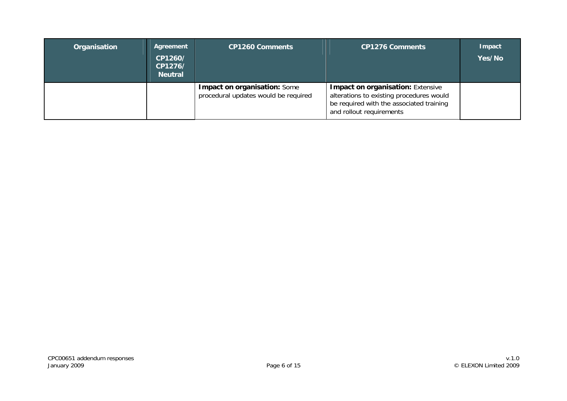| Organisation | Agreement<br>CP1260/<br>CP1276/<br><b>Neutral</b> | <b>CP1260 Comments</b>                                               | <b>CP1276 Comments</b>                                                                                                                                       | <b>Impact</b><br>Yes/No |
|--------------|---------------------------------------------------|----------------------------------------------------------------------|--------------------------------------------------------------------------------------------------------------------------------------------------------------|-------------------------|
|              |                                                   | Impact on organisation: Some<br>procedural updates would be required | <b>Impact on organisation: Extensive</b><br>alterations to existing procedures would<br>be required with the associated training<br>and rollout requirements |                         |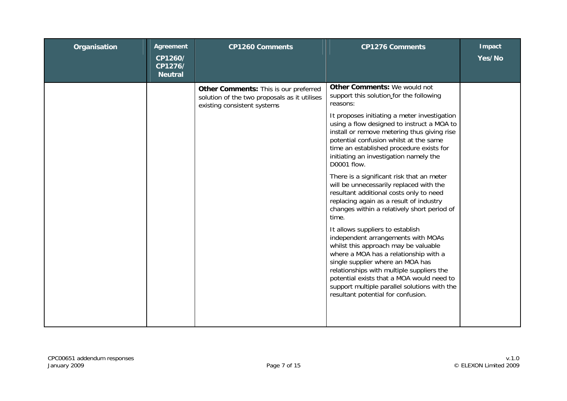| Organisation | Agreement<br>CP1260/<br>CP1276/<br><b>Neutral</b> | <b>CP1260 Comments</b>                                                                                               | <b>CP1276 Comments</b>                                                                                                                                                                                                                                                                                                                                                                                                                                                                                                                                                                                                                                                                                                                                                                                                                                                                                                                                                                                      | <b>Impact</b><br>Yes/No |
|--------------|---------------------------------------------------|----------------------------------------------------------------------------------------------------------------------|-------------------------------------------------------------------------------------------------------------------------------------------------------------------------------------------------------------------------------------------------------------------------------------------------------------------------------------------------------------------------------------------------------------------------------------------------------------------------------------------------------------------------------------------------------------------------------------------------------------------------------------------------------------------------------------------------------------------------------------------------------------------------------------------------------------------------------------------------------------------------------------------------------------------------------------------------------------------------------------------------------------|-------------------------|
|              |                                                   | Other Comments: This is our preferred<br>solution of the two proposals as it utilises<br>existing consistent systems | <b>Other Comments: We would not</b><br>support this solution for the following<br>reasons:<br>It proposes initiating a meter investigation<br>using a flow designed to instruct a MOA to<br>install or remove metering thus giving rise<br>potential confusion whilst at the same<br>time an established procedure exists for<br>initiating an investigation namely the<br>D0001 flow.<br>There is a significant risk that an meter<br>will be unnecessarily replaced with the<br>resultant additional costs only to need<br>replacing again as a result of industry<br>changes within a relatively short period of<br>time.<br>It allows suppliers to establish<br>independent arrangements with MOAs<br>whilst this approach may be valuable<br>where a MOA has a relationship with a<br>single supplier where an MOA has<br>relationships with multiple suppliers the<br>potential exists that a MOA would need to<br>support multiple parallel solutions with the<br>resultant potential for confusion. |                         |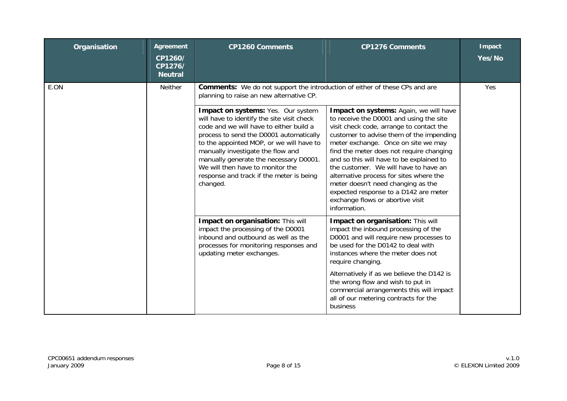| Organisation | <b>Agreement</b><br>CP1260/<br>CP1276/<br><b>Neutral</b> | <b>CP1260 Comments</b>                                                                                                                                                                                                                                                                                                                                                                        | <b>CP1276 Comments</b>                                                                                                                                                                                                                                                                                                                                                                                                                                                                                                          | Impact<br>Yes/No |
|--------------|----------------------------------------------------------|-----------------------------------------------------------------------------------------------------------------------------------------------------------------------------------------------------------------------------------------------------------------------------------------------------------------------------------------------------------------------------------------------|---------------------------------------------------------------------------------------------------------------------------------------------------------------------------------------------------------------------------------------------------------------------------------------------------------------------------------------------------------------------------------------------------------------------------------------------------------------------------------------------------------------------------------|------------------|
| E.ON         | Neither                                                  | <b>Comments:</b> We do not support the introduction of either of these CPs and are<br>planning to raise an new alternative CP.                                                                                                                                                                                                                                                                |                                                                                                                                                                                                                                                                                                                                                                                                                                                                                                                                 | Yes              |
|              |                                                          | Impact on systems: Yes. Our system<br>will have to identify the site visit check<br>code and we will have to either build a<br>process to send the D0001 automatically<br>to the appointed MOP, or we will have to<br>manually investigate the flow and<br>manually generate the necessary D0001.<br>We will then have to monitor the<br>response and track if the meter is being<br>changed. | Impact on systems: Again, we will have<br>to receive the D0001 and using the site<br>visit check code, arrange to contact the<br>customer to advise them of the impending<br>meter exchange. Once on site we may<br>find the meter does not require changing<br>and so this will have to be explained to<br>the customer. We will have to have an<br>alternative process for sites where the<br>meter doesn't need changing as the<br>expected response to a D142 are meter<br>exchange flows or abortive visit<br>information. |                  |
|              |                                                          | Impact on organisation: This will<br>impact the processing of the D0001<br>inbound and outbound as well as the<br>processes for monitoring responses and<br>updating meter exchanges.                                                                                                                                                                                                         | Impact on organisation: This will<br>impact the inbound processing of the<br>D0001 and will require new processes to<br>be used for the D0142 to deal with<br>instances where the meter does not<br>require changing.                                                                                                                                                                                                                                                                                                           |                  |
|              |                                                          |                                                                                                                                                                                                                                                                                                                                                                                               | Alternatively if as we believe the D142 is<br>the wrong flow and wish to put in<br>commercial arrangements this will impact<br>all of our metering contracts for the<br>business                                                                                                                                                                                                                                                                                                                                                |                  |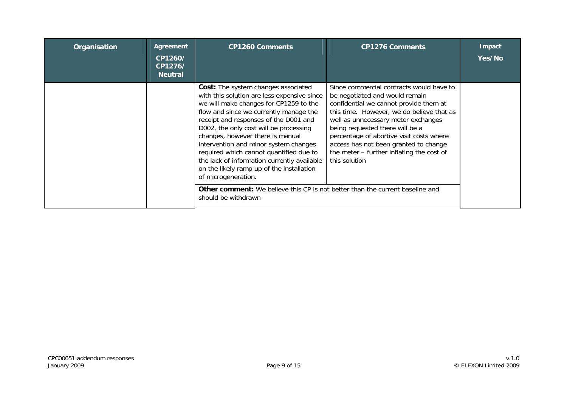| Organisation | <b>Agreement</b><br>CP1260/<br>CP1276/<br><b>Neutral</b> | <b>CP1260 Comments</b>                                                                                                                                                                                                                                                                                                                                                                                                                                                                                                                                                                                              | <b>CP1276 Comments</b>                                                                                                                                                                                                                                                                                                                                                                         | Impact<br>Yes/No |
|--------------|----------------------------------------------------------|---------------------------------------------------------------------------------------------------------------------------------------------------------------------------------------------------------------------------------------------------------------------------------------------------------------------------------------------------------------------------------------------------------------------------------------------------------------------------------------------------------------------------------------------------------------------------------------------------------------------|------------------------------------------------------------------------------------------------------------------------------------------------------------------------------------------------------------------------------------------------------------------------------------------------------------------------------------------------------------------------------------------------|------------------|
|              |                                                          | Cost: The system changes associated<br>with this solution are less expensive since<br>we will make changes for CP1259 to the<br>flow and since we currently manage the<br>receipt and responses of the D001 and<br>D002, the only cost will be processing<br>changes, however there is manual<br>intervention and minor system changes<br>required which cannot quantified due to<br>the lack of information currently available<br>on the likely ramp up of the installation<br>of microgeneration.<br><b>Other comment:</b> We believe this CP is not better than the current baseline and<br>should be withdrawn | Since commercial contracts would have to<br>be negotiated and would remain<br>confidential we cannot provide them at<br>this time. However, we do believe that as<br>well as unnecessary meter exchanges<br>being requested there will be a<br>percentage of abortive visit costs where<br>access has not been granted to change<br>the meter - further inflating the cost of<br>this solution |                  |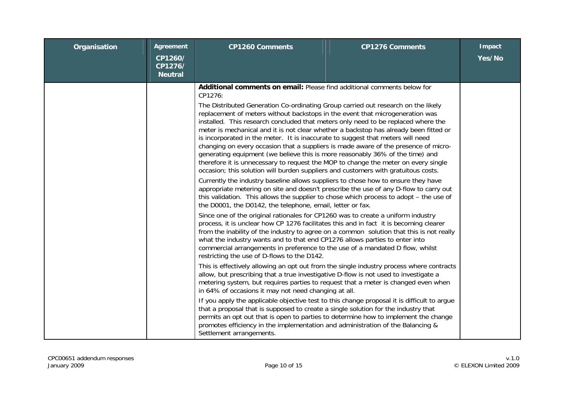| Organisation | <b>Agreement</b><br>CP1260/<br>CP1276/<br><b>Neutral</b> | <b>CP1260 Comments</b>                                                                                                                                                                                                                                                                                                                                                                                                                                                                                                                                                                                                                                                                                                                                                                                                                                                                                                                                                                                                                                                                                                                                                                                                                                                                                                                                                                                                                                                                                                                                                                                                                                                                                                                                                                                                                                                                                                                                                                                                                                                                                                                             | <b>CP1276 Comments</b>                                                                                                                                                                                                                                                              | Impact<br>Yes/No |
|--------------|----------------------------------------------------------|----------------------------------------------------------------------------------------------------------------------------------------------------------------------------------------------------------------------------------------------------------------------------------------------------------------------------------------------------------------------------------------------------------------------------------------------------------------------------------------------------------------------------------------------------------------------------------------------------------------------------------------------------------------------------------------------------------------------------------------------------------------------------------------------------------------------------------------------------------------------------------------------------------------------------------------------------------------------------------------------------------------------------------------------------------------------------------------------------------------------------------------------------------------------------------------------------------------------------------------------------------------------------------------------------------------------------------------------------------------------------------------------------------------------------------------------------------------------------------------------------------------------------------------------------------------------------------------------------------------------------------------------------------------------------------------------------------------------------------------------------------------------------------------------------------------------------------------------------------------------------------------------------------------------------------------------------------------------------------------------------------------------------------------------------------------------------------------------------------------------------------------------------|-------------------------------------------------------------------------------------------------------------------------------------------------------------------------------------------------------------------------------------------------------------------------------------|------------------|
|              |                                                          | Additional comments on email: Please find additional comments below for<br>CP1276:<br>The Distributed Generation Co-ordinating Group carried out research on the likely<br>replacement of meters without backstops in the event that microgeneration was<br>installed. This research concluded that meters only need to be replaced where the<br>meter is mechanical and it is not clear whether a backstop has already been fitted or<br>is incorporated in the meter. It is inaccurate to suggest that meters will need<br>changing on every occasion that a suppliers is made aware of the presence of micro-<br>generating equipment (we believe this is more reasonably 36% of the time) and<br>therefore it is unnecessary to request the MOP to change the meter on every single<br>occasion; this solution will burden suppliers and customers with gratuitous costs.<br>Currently the industry baseline allows suppliers to chose how to ensure they have<br>appropriate metering on site and doesn't prescribe the use of any D-flow to carry out<br>this validation. This allows the supplier to chose which process to adopt - the use of<br>the D0001, the D0142, the telephone, email, letter or fax.<br>Since one of the original rationales for CP1260 was to create a uniform industry<br>process, it is unclear how CP 1276 facilitates this and in fact it is becoming clearer<br>what the industry wants and to that end CP1276 allows parties to enter into<br>commercial arrangements in preference to the use of a mandated D flow, whilst<br>restricting the use of D-flows to the D142.<br>allow, but prescribing that a true investigative D-flow is not used to investigate a<br>metering system, but requires parties to request that a meter is changed even when<br>in 64% of occasions it may not need changing at all.<br>that a proposal that is supposed to create a single solution for the industry that<br>permits an opt out that is open to parties to determine how to implement the change<br>promotes efficiency in the implementation and administration of the Balancing &<br>Settlement arrangements. | from the inability of the industry to agree on a common solution that this is not really<br>This is effectively allowing an opt out from the single industry process where contracts<br>If you apply the applicable objective test to this change proposal it is difficult to argue |                  |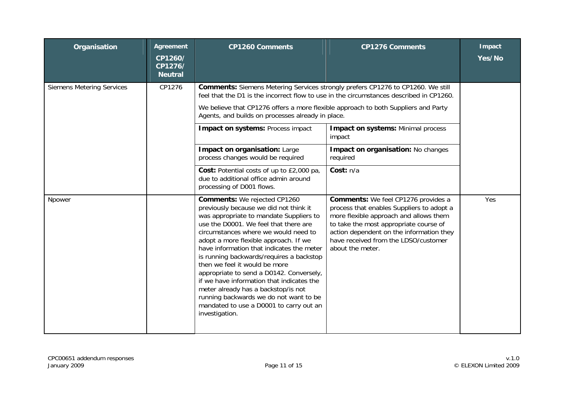| Organisation                     | Agreement<br>CP1260/<br>CP1276/<br><b>Neutral</b> | <b>CP1260 Comments</b>                                                                                                                                                                                                                                                                                                                                                                                                                                                                                                                                                                                       | <b>CP1276 Comments</b>                                                                                                                                                                                                                                                       | Impact<br>Yes/No |
|----------------------------------|---------------------------------------------------|--------------------------------------------------------------------------------------------------------------------------------------------------------------------------------------------------------------------------------------------------------------------------------------------------------------------------------------------------------------------------------------------------------------------------------------------------------------------------------------------------------------------------------------------------------------------------------------------------------------|------------------------------------------------------------------------------------------------------------------------------------------------------------------------------------------------------------------------------------------------------------------------------|------------------|
| <b>Siemens Metering Services</b> | CP1276                                            | Comments: Siemens Metering Services strongly prefers CP1276 to CP1260. We still<br>We believe that CP1276 offers a more flexible approach to both Suppliers and Party<br>Agents, and builds on processes already in place.                                                                                                                                                                                                                                                                                                                                                                                   | feel that the D1 is the incorrect flow to use in the circumstances described in CP1260.                                                                                                                                                                                      |                  |
|                                  |                                                   | Impact on systems: Process impact                                                                                                                                                                                                                                                                                                                                                                                                                                                                                                                                                                            | <b>Impact on systems: Minimal process</b><br>impact                                                                                                                                                                                                                          |                  |
|                                  |                                                   | Impact on organisation: Large<br>process changes would be required                                                                                                                                                                                                                                                                                                                                                                                                                                                                                                                                           | Impact on organisation: No changes<br>required                                                                                                                                                                                                                               |                  |
|                                  |                                                   | Cost: Potential costs of up to £2,000 pa,<br>due to additional office admin around<br>processing of D001 flows.                                                                                                                                                                                                                                                                                                                                                                                                                                                                                              | Cost: n/a                                                                                                                                                                                                                                                                    |                  |
| <b>Npower</b>                    |                                                   | Comments: We rejected CP1260<br>previously because we did not think it<br>was appropriate to mandate Suppliers to<br>use the D0001. We feel that there are<br>circumstances where we would need to<br>adopt a more flexible approach. If we<br>have information that indicates the meter<br>is running backwards/requires a backstop<br>then we feel it would be more<br>appropriate to send a D0142. Conversely,<br>if we have information that indicates the<br>meter already has a backstop/is not<br>running backwards we do not want to be<br>mandated to use a D0001 to carry out an<br>investigation. | Comments: We feel CP1276 provides a<br>process that enables Suppliers to adopt a<br>more flexible approach and allows them<br>to take the most appropriate course of<br>action dependent on the information they<br>have received from the LDSO/customer<br>about the meter. | Yes              |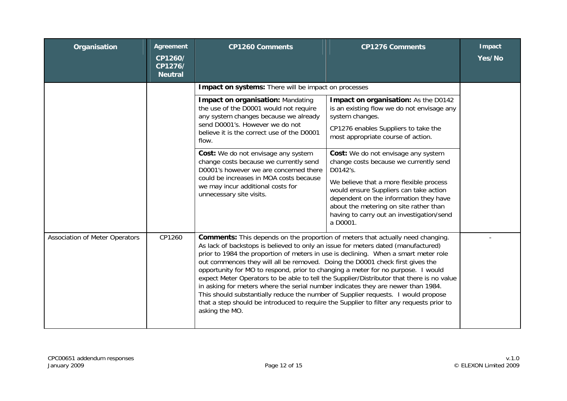| Organisation                          | Agreement<br>CP1260/<br>CP1276/<br><b>Neutral</b> | <b>CP1260 Comments</b>                                                                                                                                                                                                                                                                                                                                                                                                                                                                                                                                                                                                                                                                                                         | <b>CP1276 Comments</b>                                                                                                                                                                                                                                                                                                      | Impact<br>Yes/No |
|---------------------------------------|---------------------------------------------------|--------------------------------------------------------------------------------------------------------------------------------------------------------------------------------------------------------------------------------------------------------------------------------------------------------------------------------------------------------------------------------------------------------------------------------------------------------------------------------------------------------------------------------------------------------------------------------------------------------------------------------------------------------------------------------------------------------------------------------|-----------------------------------------------------------------------------------------------------------------------------------------------------------------------------------------------------------------------------------------------------------------------------------------------------------------------------|------------------|
|                                       |                                                   | Impact on systems: There will be impact on processes                                                                                                                                                                                                                                                                                                                                                                                                                                                                                                                                                                                                                                                                           |                                                                                                                                                                                                                                                                                                                             |                  |
|                                       |                                                   | <b>Impact on organisation: Mandating</b><br>the use of the D0001 would not require<br>any system changes because we already<br>send D0001's. However we do not<br>believe it is the correct use of the D0001<br>flow.                                                                                                                                                                                                                                                                                                                                                                                                                                                                                                          | Impact on organisation: As the D0142<br>is an existing flow we do not envisage any<br>system changes.<br>CP1276 enables Suppliers to take the<br>most appropriate course of action.                                                                                                                                         |                  |
|                                       |                                                   | Cost: We do not envisage any system<br>change costs because we currently send<br>D0001's however we are concerned there<br>could be increases in MOA costs because<br>we may incur additional costs for<br>unnecessary site visits.                                                                                                                                                                                                                                                                                                                                                                                                                                                                                            | Cost: We do not envisage any system<br>change costs because we currently send<br>D0142's.<br>We believe that a more flexible process<br>would ensure Suppliers can take action<br>dependent on the information they have<br>about the metering on site rather than<br>having to carry out an investigation/send<br>a D0001. |                  |
| <b>Association of Meter Operators</b> | CP1260                                            | <b>Comments:</b> This depends on the proportion of meters that actually need changing.<br>As lack of backstops is believed to only an issue for meters dated (manufactured)<br>prior to 1984 the proportion of meters in use is declining. When a smart meter role<br>out commences they will all be removed. Doing the D0001 check first gives the<br>opportunity for MO to respond, prior to changing a meter for no purpose. I would<br>in asking for meters where the serial number indicates they are newer than 1984.<br>This should substantially reduce the number of Supplier requests. I would propose<br>that a step should be introduced to require the Supplier to filter any requests prior to<br>asking the MO. | expect Meter Operators to be able to tell the Supplier/Distributor that there is no value                                                                                                                                                                                                                                   |                  |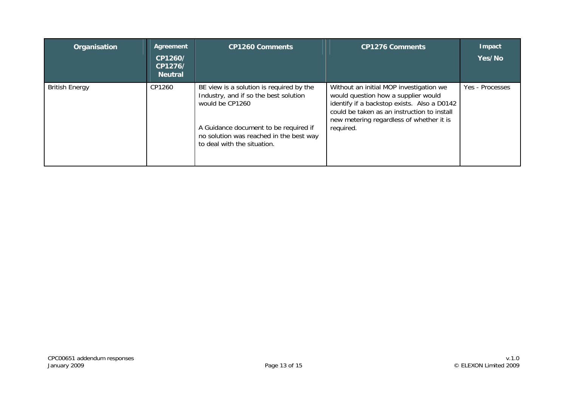| Organisation          | Agreement<br>CP1260/<br>CP1276/<br><b>Neutral</b> | <b>CP1260 Comments</b>                                                                                                                                                                                                  | <b>CP1276 Comments</b>                                                                                                                                                                                                                | Impact<br>Yes/No |
|-----------------------|---------------------------------------------------|-------------------------------------------------------------------------------------------------------------------------------------------------------------------------------------------------------------------------|---------------------------------------------------------------------------------------------------------------------------------------------------------------------------------------------------------------------------------------|------------------|
| <b>British Energy</b> | CP1260                                            | BE view is a solution is required by the<br>Industry, and if so the best solution<br>would be CP1260<br>A Guidance document to be required if<br>no solution was reached in the best way<br>to deal with the situation. | Without an initial MOP investigation we<br>would question how a supplier would<br>identify if a backstop exists. Also a D0142<br>could be taken as an instruction to install<br>new metering regardless of whether it is<br>required. | Yes - Processes  |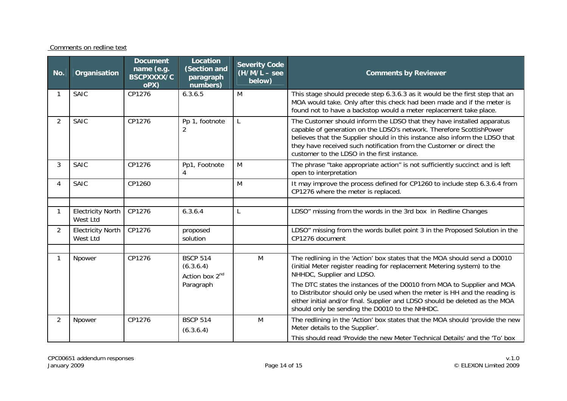#### Comments on redline text

| No.            | Organisation                         | <b>Document</b><br>name (e.g.<br><b>BSCPXXXX/C</b><br>oPX) | Location<br>(Section and<br>paragraph<br>numbers)          | <b>Severity Code</b><br>$(H/M/L - \text{see}$<br>below) | <b>Comments by Reviewer</b>                                                                                                                                                                                                                                                                                                                           |
|----------------|--------------------------------------|------------------------------------------------------------|------------------------------------------------------------|---------------------------------------------------------|-------------------------------------------------------------------------------------------------------------------------------------------------------------------------------------------------------------------------------------------------------------------------------------------------------------------------------------------------------|
|                | <b>SAIC</b>                          | CP1276                                                     | 6.3.6.5                                                    | M                                                       | This stage should precede step 6.3.6.3 as it would be the first step that an<br>MOA would take. Only after this check had been made and if the meter is<br>found not to have a backstop would a meter replacement take place.                                                                                                                         |
| $\overline{2}$ | <b>SAIC</b>                          | CP1276                                                     | Pp 1, footnote<br>2                                        | L.                                                      | The Customer should inform the LDSO that they have installed apparatus<br>capable of generation on the LDSO's network. Therefore ScottishPower<br>believes that the Supplier should in this instance also inform the LDSO that<br>they have received such notification from the Customer or direct the<br>customer to the LDSO in the first instance. |
| 3              | <b>SAIC</b>                          | CP1276                                                     | Pp1, Footnote<br>4                                         | M                                                       | The phrase "take appropriate action" is not sufficiently succinct and is left<br>open to interpretation                                                                                                                                                                                                                                               |
| 4              | <b>SAIC</b>                          | CP1260                                                     |                                                            | M                                                       | It may improve the process defined for CP1260 to include step 6.3.6.4 from<br>CP1276 where the meter is replaced.                                                                                                                                                                                                                                     |
|                |                                      |                                                            |                                                            |                                                         |                                                                                                                                                                                                                                                                                                                                                       |
| 1              | <b>Electricity North</b><br>West Ltd | CP1276                                                     | 6.3.6.4                                                    | L                                                       | LDSO" missing from the words in the 3rd box in Redline Changes                                                                                                                                                                                                                                                                                        |
| $\overline{2}$ | <b>Electricity North</b><br>West Ltd | CP1276                                                     | proposed<br>solution                                       |                                                         | LDSO" missing from the words bullet point 3 in the Proposed Solution in the<br>CP1276 document                                                                                                                                                                                                                                                        |
|                |                                      |                                                            |                                                            |                                                         |                                                                                                                                                                                                                                                                                                                                                       |
|                | Npower                               | CP1276                                                     | <b>BSCP 514</b><br>(6.3.6.4)<br>Action box 2 <sup>nd</sup> | M                                                       | The redlining in the 'Action' box states that the MOA should send a D0010<br>(initial Meter register reading for replacement Metering system) to the<br>NHHDC, Supplier and LDSO.                                                                                                                                                                     |
|                |                                      |                                                            | Paragraph                                                  |                                                         | The DTC states the instances of the D0010 from MOA to Supplier and MOA<br>to Distributor should only be used when the meter is HH and the reading is<br>either initial and/or final. Supplier and LDSO should be deleted as the MOA<br>should only be sending the D0010 to the NHHDC.                                                                 |
| $\overline{2}$ | Npower                               | CP1276                                                     | <b>BSCP 514</b><br>(6.3.6.4)                               | M                                                       | The redlining in the 'Action' box states that the MOA should 'provide the new<br>Meter details to the Supplier'.                                                                                                                                                                                                                                      |
|                |                                      |                                                            |                                                            |                                                         | This should read 'Provide the new Meter Technical Details' and the 'To' box                                                                                                                                                                                                                                                                           |